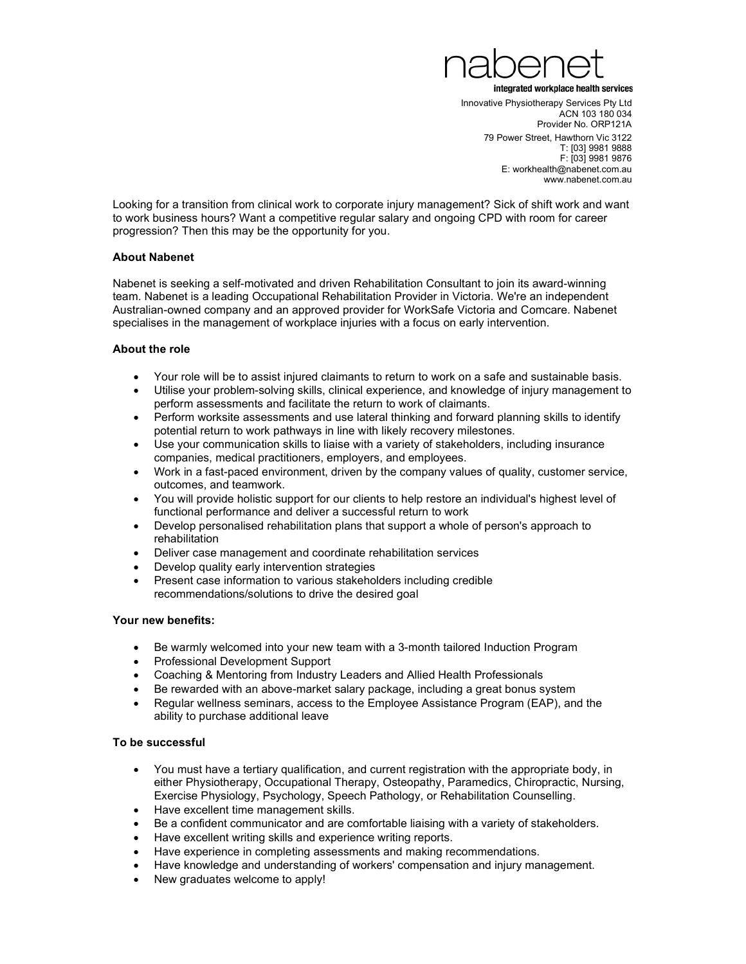

Innovative Physiotherapy Services Pty Ltd ACN 103 180 034 Provider No. ORP121A 79 Power Street, Hawthorn Vic 3122 T: [03] 9981 9888 F: [03] 9981 9876 E: workhealth@nabenet.com.au www.nabenet.com.au

Looking for a transition from clinical work to corporate injury management? Sick of shift work and want to work business hours? Want a competitive regular salary and ongoing CPD with room for career progression? Then this may be the opportunity for you.

# About Nabenet

Nabenet is seeking a self-motivated and driven Rehabilitation Consultant to join its award-winning team. Nabenet is a leading Occupational Rehabilitation Provider in Victoria. We're an independent Australian-owned company and an approved provider for WorkSafe Victoria and Comcare. Nabenet specialises in the management of workplace injuries with a focus on early intervention.

# About the role

- Your role will be to assist injured claimants to return to work on a safe and sustainable basis.
- Utilise your problem-solving skills, clinical experience, and knowledge of injury management to perform assessments and facilitate the return to work of claimants.
- Perform worksite assessments and use lateral thinking and forward planning skills to identify potential return to work pathways in line with likely recovery milestones.
- Use your communication skills to liaise with a variety of stakeholders, including insurance companies, medical practitioners, employers, and employees.
- Work in a fast-paced environment, driven by the company values of quality, customer service, outcomes, and teamwork.
- You will provide holistic support for our clients to help restore an individual's highest level of functional performance and deliver a successful return to work
- Develop personalised rehabilitation plans that support a whole of person's approach to rehabilitation
- Deliver case management and coordinate rehabilitation services
- Develop quality early intervention strategies
- Present case information to various stakeholders including credible recommendations/solutions to drive the desired goal

### Your new benefits:

- Be warmly welcomed into your new team with a 3-month tailored Induction Program
- Professional Development Support
- Coaching & Mentoring from Industry Leaders and Allied Health Professionals
- Be rewarded with an above-market salary package, including a great bonus system
- Regular wellness seminars, access to the Employee Assistance Program (EAP), and the ability to purchase additional leave

### To be successful

- You must have a tertiary qualification, and current registration with the appropriate body, in either Physiotherapy, Occupational Therapy, Osteopathy, Paramedics, Chiropractic, Nursing, Exercise Physiology, Psychology, Speech Pathology, or Rehabilitation Counselling.
- Have excellent time management skills.
- Be a confident communicator and are comfortable liaising with a variety of stakeholders.
- Have excellent writing skills and experience writing reports.
- Have experience in completing assessments and making recommendations.
- Have knowledge and understanding of workers' compensation and injury management.
- New graduates welcome to apply!